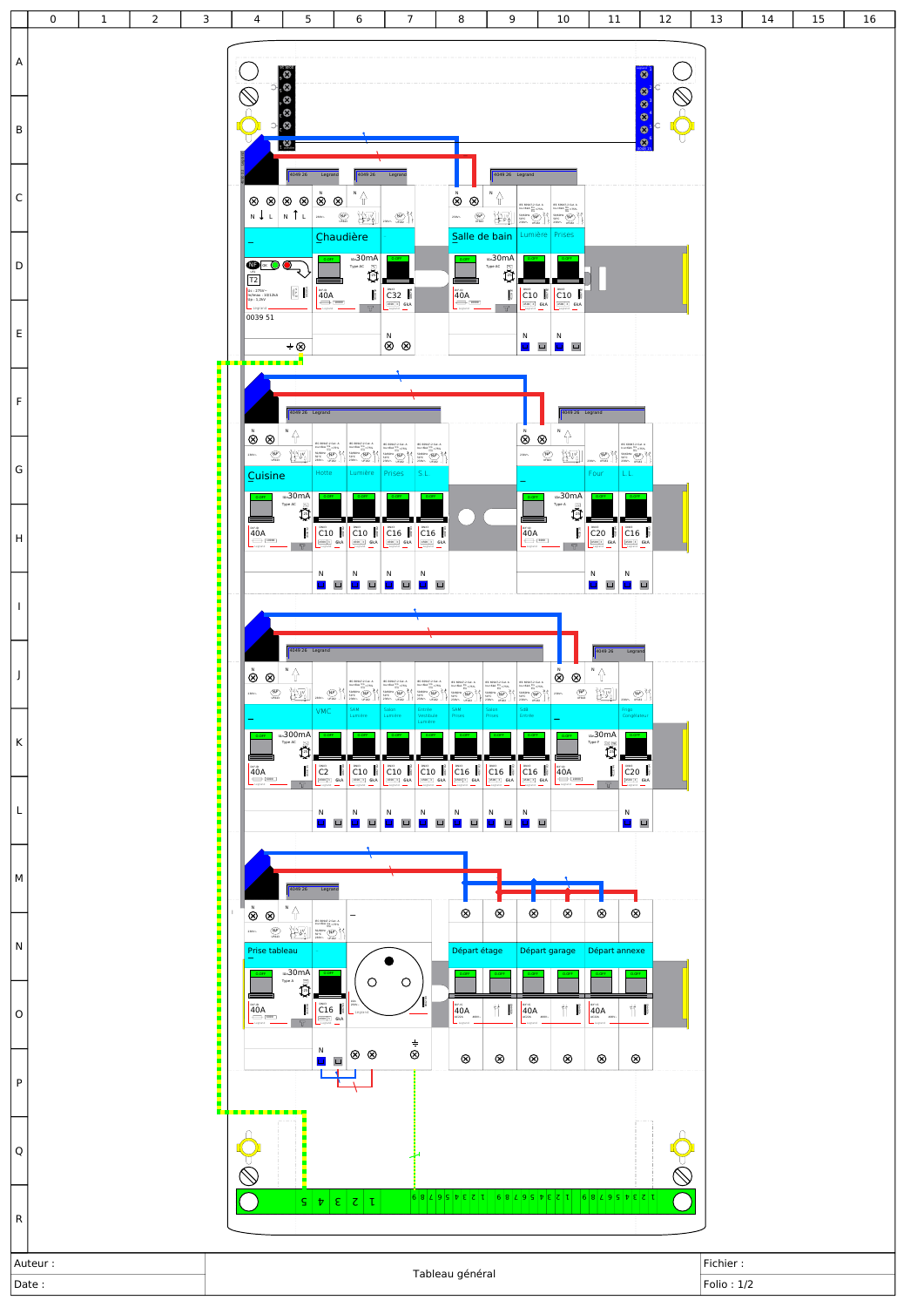